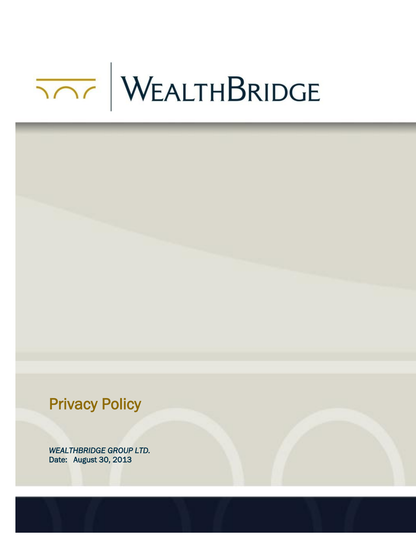# WEALTHBRIDGE



*WEALTHBRIDGE GROUP LTD.* Date: August 30, 2013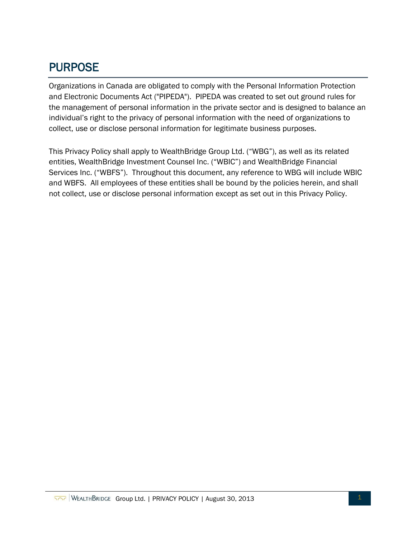# PURPOSE

Organizations in Canada are obligated to comply with the Personal Information Protection and Electronic Documents Act ("PIPEDA"). PIPEDA was created to set out ground rules for the management of personal information in the private sector and is designed to balance an individual's right to the privacy of personal information with the need of organizations to collect, use or disclose personal information for legitimate business purposes.

This Privacy Policy shall apply to WealthBridge Group Ltd. ("WBG"), as well as its related entities, WealthBridge Investment Counsel Inc. ("WBIC") and WealthBridge Financial Services Inc. ("WBFS"). Throughout this document, any reference to WBG will include WBIC and WBFS. All employees of these entities shall be bound by the policies herein, and shall not collect, use or disclose personal information except as set out in this Privacy Policy.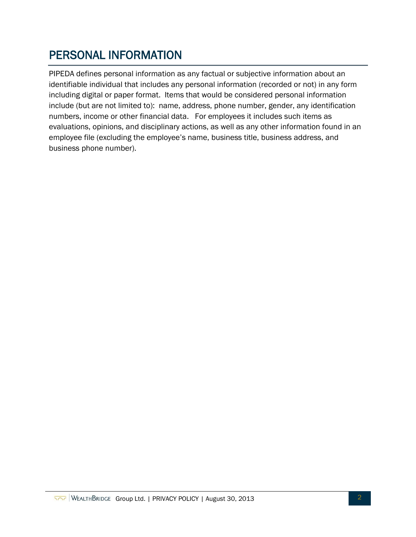# PERSONAL INFORMATION

PIPEDA defines personal information as any factual or subjective information about an identifiable individual that includes any personal information (recorded or not) in any form including digital or paper format. Items that would be considered personal information include (but are not limited to): name, address, phone number, gender, any identification numbers, income or other financial data. For employees it includes such items as evaluations, opinions, and disciplinary actions, as well as any other information found in an employee file (excluding the employee's name, business title, business address, and business phone number).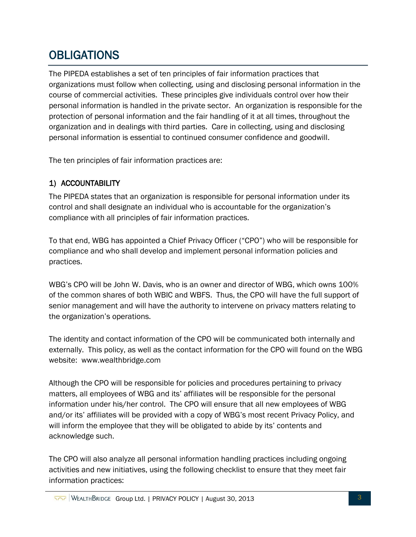# **OBLIGATIONS**

The PIPEDA establishes a set of ten principles of fair information practices that organizations must follow when collecting, using and disclosing personal information in the course of commercial activities. These principles give individuals control over how their personal information is handled in the private sector. An organization is responsible for the protection of personal information and the fair handling of it at all times, throughout the organization and in dealings with third parties. Care in collecting, using and disclosing personal information is essential to continued consumer confidence and goodwill.

The ten principles of fair information practices are:

#### 1) ACCOUNTABILITY

The PIPEDA states that an organization is responsible for personal information under its control and shall designate an individual who is accountable for the organization's compliance with all principles of fair information practices.

To that end, WBG has appointed a Chief Privacy Officer ("CPO") who will be responsible for compliance and who shall develop and implement personal information policies and practices.

WBG's CPO will be John W. Davis, who is an owner and director of WBG, which owns 100% of the common shares of both WBIC and WBFS. Thus, the CPO will have the full support of senior management and will have the authority to intervene on privacy matters relating to the organization's operations.

The identity and contact information of the CPO will be communicated both internally and externally. This policy, as well as the contact information for the CPO will found on the WBG website: [www.wealthbridge.com](http://www.wealthbridgegroup.com/)

Although the CPO will be responsible for policies and procedures pertaining to privacy matters, all employees of WBG and its' affiliates will be responsible for the personal information under his/her control. The CPO will ensure that all new employees of WBG and/or its' affiliates will be provided with a copy of WBG's most recent Privacy Policy, and will inform the employee that they will be obligated to abide by its' contents and acknowledge such.

The CPO will also analyze all personal information handling practices including ongoing activities and new initiatives, using the following checklist to ensure that they meet fair information practices: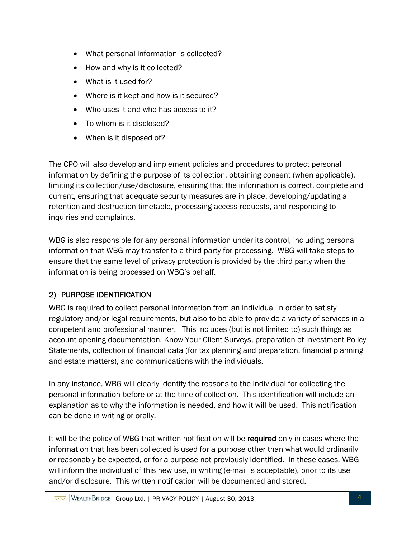- What personal information is collected?
- How and why is it collected?
- What is it used for?
- Where is it kept and how is it secured?
- Who uses it and who has access to it?
- To whom is it disclosed?
- When is it disposed of?

The CPO will also develop and implement policies and procedures to protect personal information by defining the purpose of its collection, obtaining consent (when applicable), limiting its collection/use/disclosure, ensuring that the information is correct, complete and current, ensuring that adequate security measures are in place, developing/updating a retention and destruction timetable, processing access requests, and responding to inquiries and complaints.

WBG is also responsible for any personal information under its control, including personal information that WBG may transfer to a third party for processing. WBG will take steps to ensure that the same level of privacy protection is provided by the third party when the information is being processed on WBG's behalf.

## 2) PURPOSE IDENTIFICATION

WBG is required to collect personal information from an individual in order to satisfy regulatory and/or legal requirements, but also to be able to provide a variety of services in a competent and professional manner. This includes (but is not limited to) such things as account opening documentation, Know Your Client Surveys, preparation of Investment Policy Statements, collection of financial data (for tax planning and preparation, financial planning and estate matters), and communications with the individuals.

In any instance, WBG will clearly identify the reasons to the individual for collecting the personal information before or at the time of collection. This identification will include an explanation as to why the information is needed, and how it will be used. This notification can be done in writing or orally.

It will be the policy of WBG that written notification will be required only in cases where the information that has been collected is used for a purpose other than what would ordinarily or reasonably be expected, or for a purpose not previously identified. In these cases, WBG will inform the individual of this new use, in writing (e-mail is acceptable), prior to its use and/or disclosure. This written notification will be documented and stored.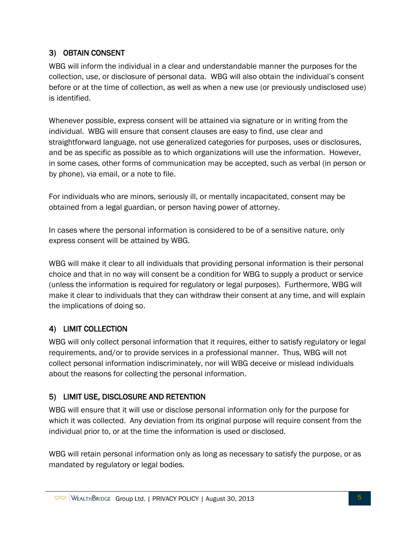## 3) OBTAIN CONSENT

WBG will inform the individual in a clear and understandable manner the purposes for the collection, use, or disclosure of personal data. WBG will also obtain the individual's consent before or at the time of collection, as well as when a new use (or previously undisclosed use) is identified.

Whenever possible, express consent will be attained via signature or in writing from the individual. WBG will ensure that consent clauses are easy to find, use clear and straightforward language, not use generalized categories for purposes, uses or disclosures, and be as specific as possible as to which organizations will use the information. However, in some cases, other forms of communication may be accepted, such as verbal (in person or by phone), via email, or a note to file.

For individuals who are minors, seriously ill, or mentally incapacitated, consent may be obtained from a legal guardian, or person having power of attorney.

In cases where the personal information is considered to be of a sensitive nature, only express consent will be attained by WBG.

WBG will make it clear to all individuals that providing personal information is their personal choice and that in no way will consent be a condition for WBG to supply a product or service (unless the information is required for regulatory or legal purposes). Furthermore, WBG will make it clear to individuals that they can withdraw their consent at any time, and will explain the implications of doing so.

## 4) LIMIT COLLECTION

WBG will only collect personal information that it requires, either to satisfy regulatory or legal requirements, and/or to provide services in a professional manner. Thus, WBG will not collect personal information indiscriminately, nor will WBG deceive or mislead individuals about the reasons for collecting the personal information.

## 5) LIMIT USE, DISCLOSURE AND RETENTION

WBG will ensure that it will use or disclose personal information only for the purpose for which it was collected. Any deviation from its original purpose will require consent from the individual prior to, or at the time the information is used or disclosed.

WBG will retain personal information only as long as necessary to satisfy the purpose, or as mandated by regulatory or legal bodies.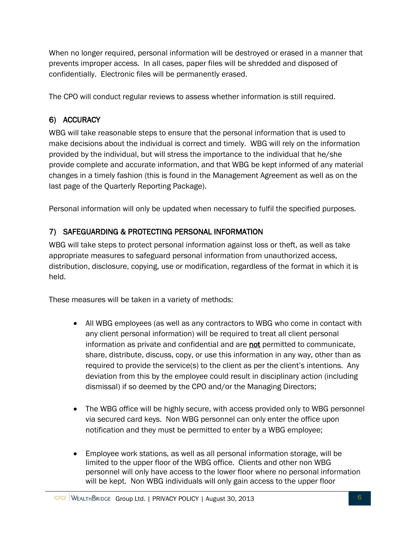When no longer required, personal information will be destroyed or erased in a manner that prevents improper access. In all cases, paper files will be shredded and disposed of confidentially. Electronic files will be permanently erased.

The CPO will conduct regular reviews to assess whether information is still required.

#### 6) ACCURACY

WBG will take reasonable steps to ensure that the personal information that is used to make decisions about the individual is correct and timely. WBG will rely on the information provided by the individual, but will stress the importance to the individual that he/she provide complete and accurate information, and that WBG be kept informed of any material changes in a timely fashion (this is found in the Management Agreement as well as on the last page of the Quarterly Reporting Package).

Personal information will only be updated when necessary to fulfil the specified purposes.

## 7) SAFEGUARDING & PROTECTING PERSONAL INFORMATION

WBG will take steps to protect personal information against loss or theft, as well as take appropriate measures to safeguard personal information from unauthorized access, distribution, disclosure, copying, use or modification, regardless of the format in which it is held.

These measures will be taken in a variety of methods:

- All WBG employees (as well as any contractors to WBG who come in contact with any client personal information) will be required to treat all client personal information as private and confidential and are not permitted to communicate, share, distribute, discuss, copy, or use this information in any way, other than as required to provide the service(s) to the client as per the client's intentions. Any deviation from this by the employee could result in disciplinary action (including dismissal) if so deemed by the CPO and/or the Managing Directors;
- The WBG office will be highly secure, with access provided only to WBG personnel via secured card keys. Non WBG personnel can only enter the office upon notification and they must be permitted to enter by a WBG employee;
- Employee work stations, as well as all personal information storage, will be limited to the upper floor of the WBG office. Clients and other non WBG personnel will only have access to the lower floor where no personal information will be kept. Non WBG individuals will only gain access to the upper floor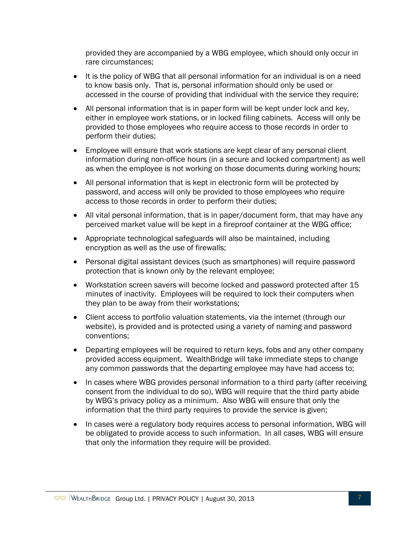provided they are accompanied by a WBG employee, which should only occur in rare circumstances;

- It is the policy of WBG that all personal information for an individual is on a need to know basis only. That is, personal information should only be used or accessed in the course of providing that individual with the service they require;
- All personal information that is in paper form will be kept under lock and key, either in employee work stations, or in locked filing cabinets. Access will only be provided to those employees who require access to those records in order to perform their duties;
- Employee will ensure that work stations are kept clear of any personal client information during non-office hours (in a secure and locked compartment) as well as when the employee is not working on those documents during working hours;
- All personal information that is kept in electronic form will be protected by password, and access will only be provided to those employees who require access to those records in order to perform their duties;
- All vital personal information, that is in paper/document form, that may have any perceived market value will be kept in a fireproof container at the WBG office;
- Appropriate technological safeguards will also be maintained, including encryption as well as the use of firewalls;
- Personal digital assistant devices (such as smartphones) will require password protection that is known only by the relevant employee;
- Workstation screen savers will become locked and password protected after 15 minutes of inactivity. Employees will be required to lock their computers when they plan to be away from their workstations;
- Client access to portfolio valuation statements, via the internet (through our website), is provided and is protected using a variety of naming and password conventions;
- Departing employees will be required to return keys, fobs and any other company provided access equipment. WealthBridge will take immediate steps to change any common passwords that the departing employee may have had access to;
- In cases where WBG provides personal information to a third party (after receiving consent from the individual to do so), WBG will require that the third party abide by WBG's privacy policy as a minimum. Also WBG will ensure that only the information that the third party requires to provide the service is given;
- In cases were a regulatory body requires access to personal information, WBG will be obligated to provide access to such information. In all cases, WBG will ensure that only the information they require will be provided.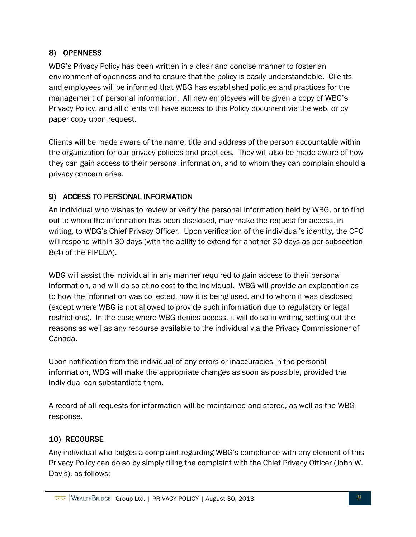#### 8) OPENNESS

WBG's Privacy Policy has been written in a clear and concise manner to foster an environment of openness and to ensure that the policy is easily understandable. Clients and employees will be informed that WBG has established policies and practices for the management of personal information. All new employees will be given a copy of WBG's Privacy Policy, and all clients will have access to this Policy document via the web, or by paper copy upon request.

Clients will be made aware of the name, title and address of the person accountable within the organization for our privacy policies and practices. They will also be made aware of how they can gain access to their personal information, and to whom they can complain should a privacy concern arise.

#### 9) ACCESS TO PERSONAL INFORMATION

An individual who wishes to review or verify the personal information held by WBG, or to find out to whom the information has been disclosed, may make the request for access, in writing, to WBG's Chief Privacy Officer. Upon verification of the individual's identity, the CPO will respond within 30 days (with the ability to extend for another 30 days as per subsection 8(4) of the PIPEDA).

WBG will assist the individual in any manner required to gain access to their personal information, and will do so at no cost to the individual. WBG will provide an explanation as to how the information was collected, how it is being used, and to whom it was disclosed (except where WBG is not allowed to provide such information due to regulatory or legal restrictions). In the case where WBG denies access, it will do so in writing, setting out the reasons as well as any recourse available to the individual via the Privacy Commissioner of Canada.

Upon notification from the individual of any errors or inaccuracies in the personal information, WBG will make the appropriate changes as soon as possible, provided the individual can substantiate them.

A record of all requests for information will be maintained and stored, as well as the WBG response.

#### 10) RECOURSE

Any individual who lodges a complaint regarding WBG's compliance with any element of this Privacy Policy can do so by simply filing the complaint with the Chief Privacy Officer (John W. Davis), as follows: